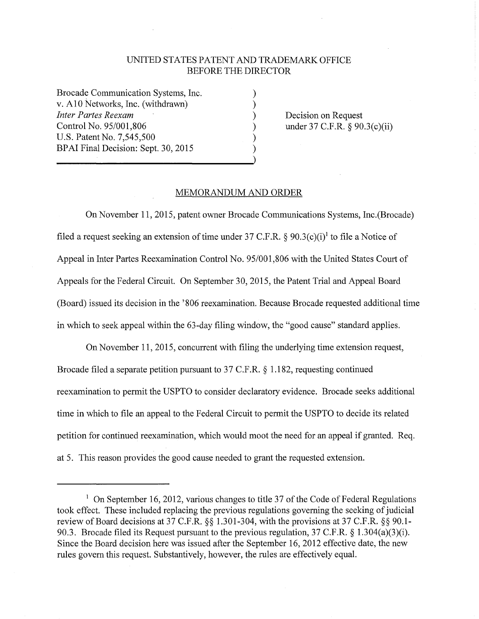## UNITED STATES PATENT AND TRADEMARK OFFICE BEFORE THE DIRECTOR

) ) ) ) ) )

Brocade Communication Systems, Inc. v. Al O Networks, Inc. (withdrawn) *Inter Partes Reexam*  Control No. 95/001,806 U.S. Patent No. 7,545,500 BPAI Final Decision: Sept. 30, 2015

Decision on Request under 37 C.F.R. § 90.3(c)(ii)

## MEMORANDUM AND ORDER

On November 11, 2015, patent owner Brocade Communications Systems, Inc.(Brocade) filed a request seeking an extension of time under 37 C.F.R.  $\S 90.3(c)(i)^{1}$  to file a Notice of Appeal in Inter Partes Reexamination Control No. 95/001,806 with the United States Court of Appeals for the Federal Circuit. On September 30, 2015, the Patent Trial and Appeal Board (Board) issued its decision in the '806 reexamination. Because Brocade requested additional time in which to seek appeal within the 63-day filing window, the "good cause" standard applies.

On November **11,** 2015, concurrent with filing the underlying time extension request, Brocade filed a separate petition pursuant to 37 C.F.R. § 1.182, requesting continued reexamination to permit the USPTO to consider declaratory evidence. Brocade seeks additional time in which to file an appeal to the Federal Circuit to permit the USPTO to decide its related petition for continued reexamination, which would moot the need for an appeal if granted. Req. at 5. This reason provides the good cause needed to grant the requested extension.

<sup>&</sup>lt;sup>1</sup> On September 16, 2012, various changes to title 37 of the Code of Federal Regulations took effect. These included replacing the previous regulations governing the seeking of judicial review of Board decisions at 37 C.F.R. §§ 1.301-304, with the provisions at 37 C.F.R. §§ 90.1- 90.3. Brocade filed its Request pursuant to the previous regulation, 37 C.F.R. § **l** .304(a)(3)(i). Since the Board decision here was issued after the September 16, 2012 effective date, the new rules govern this request. Substantively, however, the rules are effectively equal.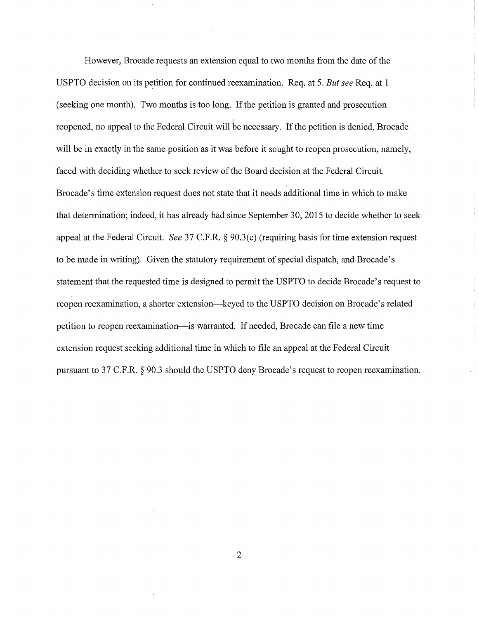However, Brocade requests an extension equal to two months from the date of the USPTO decision on its petition for continued reexamination. Req. at 5. *But see* Req. at 1 (seeking one month). Two months is too long. If the petition is granted and prosecution reopened, no appeal to the Federal Circuit will he necessary. If the petition is denied, Brocade will be in exactly in the same position as it was before it sought to reopen prosecution, namely, faced with deciding whether to seek review of the Board decision at the Federal Circuit. Brocade's time extension request does not state that it needs additional time in which to make that determination; indeed, it has already had since September 30, 2015 to decide whether to seek appeal at the Federal Circuit. *See* 37 C.F.R. § 90.3(c) (requiring basis for time extension request to be made in writing). Given the statutory requirement of special dispatch, and Brocade's statement that the requested time is designed to permit the USPTO to decide Brocade's request to reopen reexamination, a shorter extension-keyed to the USPTO decision on Brocade's related petition to reopen reexamination-is warranted. If needed, Brocade can file a new time extension request seeking additional time in which to file an appeal at the Federal Circuit pursuant to 37 C.F.R. § 90.3 should the USPTO deny Brocade's request to reopen reexamination.